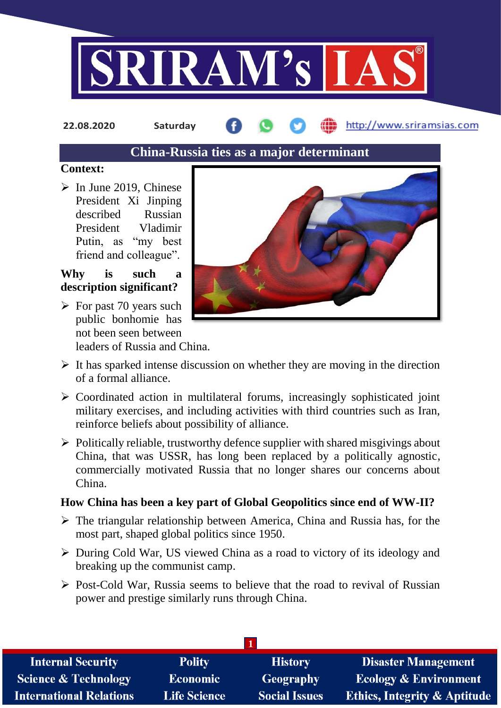

**22.08.2020 Saturday**

http://www.sriramsias.com

# **China-Russia ties as a major determinant**

#### **Context:**

 $\triangleright$  In June 2019, Chinese President Xi Jinping described Russian President Vladimir Putin, as "my best friend and colleague".

# **Why is such a description significant?**

 $\triangleright$  For past 70 years such public bonhomie has not been seen between leaders of Russia and China.



- $\triangleright$  It has sparked intense discussion on whether they are moving in the direction of a formal alliance.
- $\triangleright$  Coordinated action in multilateral forums, increasingly sophisticated joint military exercises, and including activities with third countries such as Iran, reinforce beliefs about possibility of alliance.
- $\triangleright$  Politically reliable, trustworthy defence supplier with shared misgivings about China, that was USSR, has long been replaced by a politically agnostic, commercially motivated Russia that no longer shares our concerns about China.

# **How China has been a key part of Global Geopolitics since end of WW-II?**

- $\triangleright$  The triangular relationship between America, China and Russia has, for the most part, shaped global politics since 1950.
- During Cold War, US viewed China as a road to victory of its ideology and breaking up the communist camp.
- $\triangleright$  Post-Cold War, Russia seems to believe that the road to revival of Russian power and prestige similarly runs through China.

| <b>Internal Security</b>        | <b>Polity</b>       | <b>History</b>       | <b>Disaster Management</b>              |  |  |
|---------------------------------|---------------------|----------------------|-----------------------------------------|--|--|
| <b>Science &amp; Technology</b> | <b>Economic</b>     | <b>Geography</b>     | <b>Ecology &amp; Environment</b>        |  |  |
| <b>International Relations</b>  | <b>Life Science</b> | <b>Social Issues</b> | <b>Ethics, Integrity &amp; Aptitude</b> |  |  |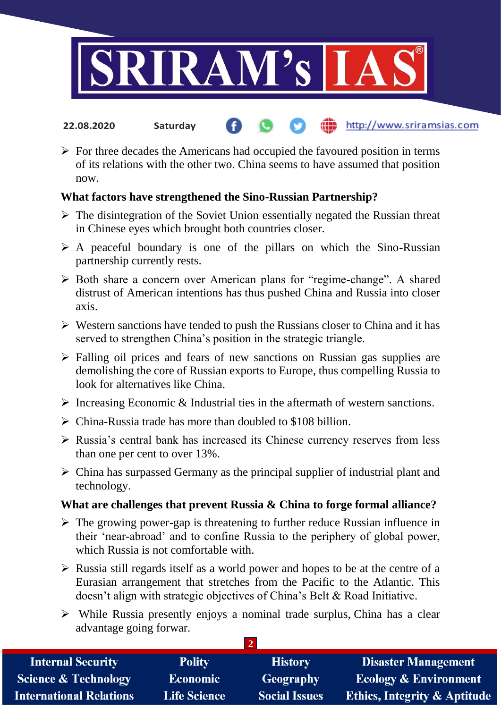

- http://www.sriramsias.com **22.08.2020 Saturday**
- $\triangleright$  For three decades the Americans had occupied the favoured position in terms of its relations with the other two. China seems to have assumed that position now.

## **What factors have strengthened the Sino-Russian Partnership?**

- $\triangleright$  The disintegration of the Soviet Union essentially negated the Russian threat in Chinese eyes which brought both countries closer.
- $\triangleright$  A peaceful boundary is one of the pillars on which the Sino-Russian partnership currently rests.
- Both share a concern over American plans for "regime-change". A shared distrust of American intentions has thus pushed China and Russia into closer axis.
- $\triangleright$  Western sanctions have tended to push the Russians closer to China and it has served to strengthen China's position in the strategic triangle.
- $\triangleright$  Falling oil prices and fears of new sanctions on Russian gas supplies are demolishing the core of Russian exports to Europe, thus compelling Russia to look for alternatives like China.
- $\triangleright$  Increasing Economic & Industrial ties in the aftermath of western sanctions.
- $\triangleright$  China-Russia trade has more than doubled to \$108 billion.
- $\triangleright$  Russia's central bank has increased its Chinese currency reserves from less than one per cent to over 13%.
- $\triangleright$  China has surpassed Germany as the principal supplier of industrial plant and technology.

### **What are challenges that prevent Russia & China to forge formal alliance?**

- $\triangleright$  The growing power-gap is threatening to further reduce Russian influence in their 'near-abroad' and to confine Russia to the periphery of global power, which Russia is not comfortable with.
- $\triangleright$  Russia still regards itself as a world power and hopes to be at the centre of a Eurasian arrangement that stretches from the Pacific to the Atlantic. This doesn't align with strategic objectives of China's Belt & Road Initiative.
- $\triangleright$  While Russia presently enjoys a nominal trade surplus, China has a clear advantage going forwar.

**2** 

| <b>Internal Security</b>        | <b>Polity</b>       | <b>History</b>       | <b>Disaster Management</b>              |
|---------------------------------|---------------------|----------------------|-----------------------------------------|
| <b>Science &amp; Technology</b> | <b>Economic</b>     | Geography            | <b>Ecology &amp; Environment</b>        |
| <b>International Relations</b>  | <b>Life Science</b> | <b>Social Issues</b> | <b>Ethics, Integrity &amp; Aptitude</b> |